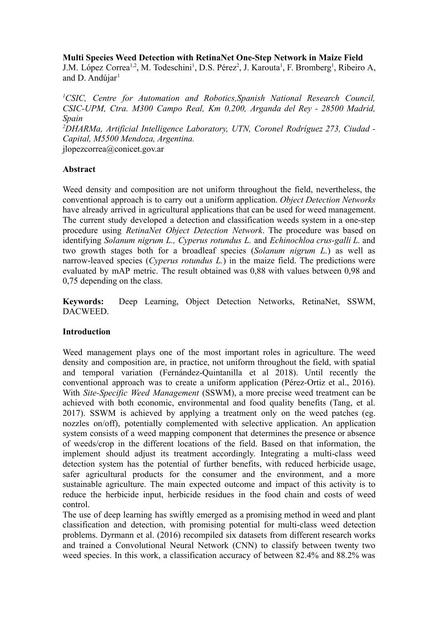## **Multi Species Weed Detection with RetinaNet One-Step Network in Maize Field**

J.M. López Correa<sup>1,2</sup>, M. Todeschini<sup>1</sup>, D.S. Pérez<sup>2</sup>, J. Karouta<sup>1</sup>, F. Bromberg<sup>1</sup>, Ribeiro A, and D. Andújar $<sup>1</sup>$ </sup>

*<sup>1</sup>CSIC, Centre for Automation and Robotics,Spanish National Research Council, CSIC-UPM, Ctra. M300 Campo Real, Km 0,200, Arganda del Rey - 28500 Madrid, Spain*

*<sup>2</sup>DHARMa, Artificial Intelligence Laboratory, UTN, Coronel Rodríguez 273, Ciudad - Capital, M5500 Mendoza, Argentina.*

jlopezcorrea@conicet.gov.ar

## **Abstract**

Weed density and composition are not uniform throughout the field, nevertheless, the conventional approach is to carry out a uniform application. *Object Detection Networks* have already arrived in agricultural applications that can be used for weed management. The current study developed a detection and classification weeds system in a one-step procedure using *RetinaNet Object Detection Network*. The procedure was based on identifying *Solanum nigrum L., Cyperus rotundus L.* and *Echinochloa crus-galli L.* and two growth stages both for a broadleaf species (*Solanum nigrum L.*) as well as narrow-leaved species (*Cyperus rotundus L.*) in the maize field. The predictions were evaluated by mAP metric. The result obtained was 0,88 with values between 0,98 and 0,75 depending on the class.

**Keywords:** Deep Learning, Object Detection Networks, RetinaNet, SSWM, DACWEED.

# **Introduction**

Weed management plays one of the most important roles in agriculture. The weed density and composition are, in practice, not uniform throughout the field, with spatial and temporal variation (Fernández-Quintanilla et al 2018). Until recently the conventional approach was to create a uniform application (Pérez-Ortiz et al., 2016). With *Site-Specific Weed Management* (SSWM), a more precise weed treatment can be achieved with both economic, environmental and food quality benefits (Tang, et al. 2017). SSWM is achieved by applying a treatment only on the weed patches (eg. nozzles on/off), potentially complemented with selective application. An application system consists of a weed mapping component that determines the presence or absence of weeds/crop in the different locations of the field. Based on that information, the implement should adjust its treatment accordingly. Integrating a multi-class weed detection system has the potential of further benefits, with reduced herbicide usage, safer agricultural products for the consumer and the environment, and a more sustainable agriculture. The main expected outcome and impact of this activity is to reduce the herbicide input, herbicide residues in the food chain and costs of weed control.

The use of deep learning has swiftly emerged as a promising method in weed and plant classification and detection, with promising potential for multi-class weed detection problems. Dyrmann et al. (2016) recompiled six datasets from different research works and trained a Convolutional Neural Network (CNN) to classify between twenty two weed species. In this work, a classification accuracy of between 82.4% and 88.2% was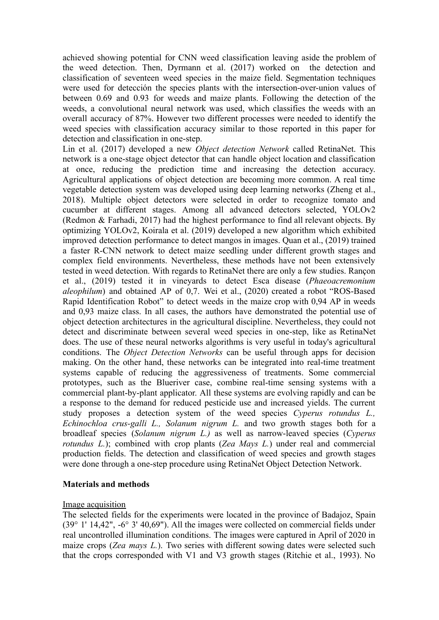achieved showing potential for CNN weed classification leaving aside the problem of the weed detection. Then, Dyrmann et al. (2017) worked on the detection and classification of seventeen weed species in the maize field. Segmentation techniques were used for detección the species plants with the intersection-over-union values of between 0.69 and 0.93 for weeds and maize plants. Following the detection of the weeds, a convolutional neural network was used, which classifies the weeds with an overall accuracy of 87%. However two different processes were needed to identify the weed species with classification accuracy similar to those reported in this paper for detection and classification in one-step.

Lin et al. (2017) developed a new *Object detection Network* called RetinaNet. This network is a one-stage object detector that can handle object location and classification at once, reducing the prediction time and increasing the detection accuracy. Agricultural applications of object detection are becoming more common. A real time vegetable detection system was developed using deep learning networks (Zheng et al., 2018). Multiple object detectors were selected in order to recognize tomato and cucumber at different stages. Among all advanced detectors selected, YOLOv2 (Redmon & Farhadi, 2017) had the highest performance to find all relevant objects. By optimizing YOLOv2, Koirala et al. (2019) developed a new algorithm which exhibited improved detection performance to detect mangos in images. Quan et al., (2019) trained a faster R-CNN network to detect maize seedling under different growth stages and complex field environments. Nevertheless, these methods have not been extensively tested in weed detection. With regards to RetinaNet there are only a few studies. Rançon et al., (2019) tested it in vineyards to detect Esca disease (*Phaeoacremonium aleophilum*) and obtained AP of 0,7. Wei et al., (2020) created a robot "ROS-Based Rapid Identification Robot" to detect weeds in the maize crop with 0,94 AP in weeds and 0,93 maize class. In all cases, the authors have demonstrated the potential use of object detection architectures in the agricultural discipline. Nevertheless, they could not detect and discriminate between several weed species in one-step, like as RetinaNet does. The use of these neural networks algorithms is very useful in today's agricultural conditions. The *Object Detection Networks* can be useful through apps for decision making. On the other hand, these networks can be integrated into real-time treatment systems capable of reducing the aggressiveness of treatments. Some commercial prototypes, such as the Blueriver case, combine real-time sensing systems with a commercial plant-by-plant applicator. All these systems are evolving rapidly and can be a response to the demand for reduced pesticide use and increased yields. The current study proposes a detection system of the weed species *Cyperus rotundus L., Echinochloa crus-galli L., Solanum nigrum L.* and two growth stages both for a broadleaf species (*Solanum nigrum L.)* as well as narrow-leaved species (*Cyperus rotundus L.*); combined with crop plants (*Zea Mays L.*) under real and commercial production fields. The detection and classification of weed species and growth stages were done through a one-step procedure using RetinaNet Object Detection Network.

### **Materials and methods**

### Image acquisition

The selected fields for the experiments were located in the province of Badajoz, Spain (39° 1' 14,42", -6° 3' 40,69"). All the images were collected on commercial fields under real uncontrolled illumination conditions. The images were captured in April of 2020 in maize crops (*Zea mays L.*). Two series with different sowing dates were selected such that the crops corresponded with V1 and V3 growth stages (Ritchie et al., 1993). No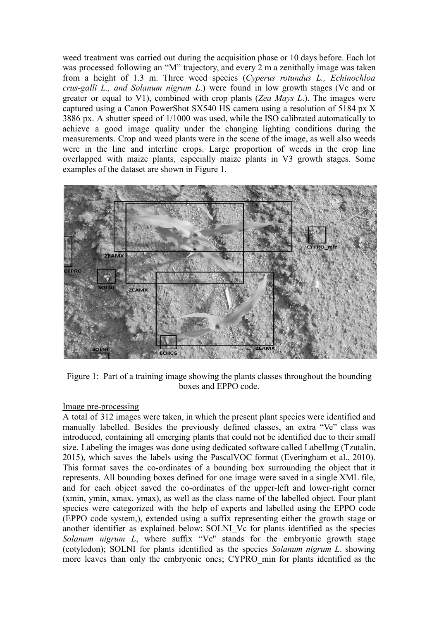weed treatment was carried out during the acquisition phase or 10 days before. Each lot was processed following an "M" trajectory, and every 2 m a zenithally image was taken from a height of 1.3 m. Three weed species (*Cyperus rotundus L., Echinochloa crus-galli L., and Solanum nigrum L*.) were found in low growth stages (Vc and or greater or equal to V1), combined with crop plants (*Zea Mays L*.). The images were captured using a Canon PowerShot SX540 HS camera using a resolution of 5184 px X 3886 px. A shutter speed of 1/1000 was used, while the ISO calibrated automatically to achieve a good image quality under the changing lighting conditions during the measurements. Crop and weed plants were in the scene of the image, as well also weeds were in the line and interline crops. Large proportion of weeds in the crop line overlapped with maize plants, especially maize plants in V3 growth stages. Some examples of the dataset are shown in Figure 1.



Figure 1: Part of a training image showing the plants classes throughout the bounding boxes and EPPO code.

### Image pre-processing

A total of 312 images were taken, in which the present plant species were identified and manually labelled. Besides the previously defined classes, an extra "Ve" class was introduced, containing all emerging plants that could not be identified due to their small size. Labeling the images was done using dedicated software called LabelImg (Tzutalin, 2015), which saves the labels using the PascalVOC format (Everingham et al., 2010). This format saves the co-ordinates of a bounding box surrounding the object that it represents. All bounding boxes defined for one image were saved in a single XML file, and for each object saved the co-ordinates of the upper-left and lower-right corner (xmin, ymin, xmax, ymax), as well as the class name of the labelled object. Four plant species were categorized with the help of experts and labelled using the EPPO code (EPPO code system,), extended using a suffix representing either the growth stage or another identifier as explained below: SOLNI\_Vc for plants identified as the species *Solanum nigrum L*, where suffix "Vc'' stands for the embryonic growth stage (cotyledon); SOLNI for plants identified as the species *Solanum nigrum L*. showing more leaves than only the embryonic ones; CYPRO\_min for plants identified as the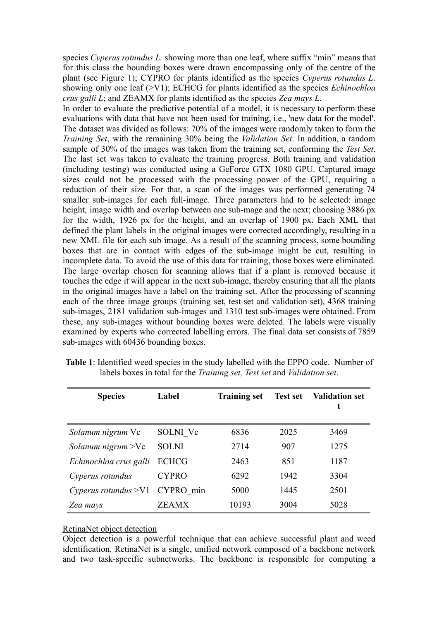species *Cyperus rotundus L.* showing more than one leaf, where suffix "min" means that for this class the bounding boxes were drawn encompassing only of the centre of the plant (see Figure 1); CYPRO for plants identified as the species *Cyperus rotundus L*. showing only one leaf (>V1); ECHCG for plants identified as the species *Echinochloa crus galli L*; and ZEAMX for plants identified as the species *Zea mays L*.

In order to evaluate the predictive potential of a model, it is necessary to perform these evaluations with data that have not been used for training, i.e., 'new data for the model'. The dataset was divided as follows: 70% of the images were randomly taken to form the *Training Set*, with the remaining 30% being the *Validation Set*. In addition, a random sample of 30% of the images was taken from the training set, conforming the *Test Set*. The last set was taken to evaluate the training progress. Both training and validation (including testing) was conducted using a GeForce GTX 1080 GPU. Captured image sizes could not be processed with the processing power of the GPU, requiring a reduction of their size. For that, a scan of the images was performed generating 74 smaller sub-images for each full-image. Three parameters had to be selected: image height, image width and overlap between one sub-mage and the next; choosing 3886 px for the width, 1926 px for the height, and an overlap of 1900 px. Each XML that defined the plant labels in the original images were corrected accordingly, resulting in a new XML file for each sub image. As a result of the scanning process, some bounding boxes that are in contact with edges of the sub-image might be cut, resulting in incomplete data. To avoid the use of this data for training, those boxes were eliminated. The large overlap chosen for scanning allows that if a plant is removed because it touches the edge it will appear in the next sub-image, thereby ensuring that all the plants in the original images have a label on the training set. After the processing of scanning each of the three image groups (training set, test set and validation set), 4368 training sub-images, 2181 validation sub-images and 1310 test sub-images were obtained. From these, any sub-images without bounding boxes were deleted. The labels were visually examined by experts who corrected labelling errors. The final data set consists of 7859 sub-images with 60436 bounding boxes.

| <b>Species</b>                 | Label        | <b>Training set</b> | <b>Test set</b> | <b>Validation set</b><br>t |
|--------------------------------|--------------|---------------------|-----------------|----------------------------|
| Solanum nigrum Vc              | SOLNI Vc     | 6836                | 2025            | 3469                       |
| Solanum nigrum $>$ Vc          | <b>SOLNI</b> | 2714                | 907             | 1275                       |
| Echinochloa crus galli         | <b>ECHCG</b> | 2463                | 851             | 1187                       |
| Cyperus rotundus               | <b>CYPRO</b> | 6292                | 1942            | 3304                       |
| Cyperus rotundus >V1 CYPRO min |              | 5000                | 1445            | 2501                       |
| Zea mays                       | ZEAMX        | 10193               | 3004            | 5028                       |

**Table 1**: Identified weed species in the study labelled with the EPPO code. Number of labels boxes in total for the *Training set, Test set* and *Validation set*.

#### RetinaNet object detection

Object detection is a powerful technique that can achieve successful plant and weed identification. RetinaNet is a single, unified network composed of a backbone network and two task-specific subnetworks. The backbone is responsible for computing a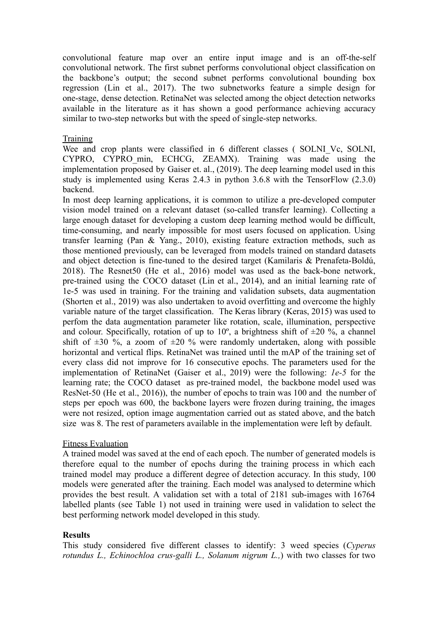convolutional feature map over an entire input image and is an off-the-self convolutional network. The first subnet performs convolutional object classification on the backbone's output; the second subnet performs convolutional bounding box regression (Lin et al., 2017). The two subnetworks feature a simple design for one-stage, dense detection. RetinaNet was selected among the object detection networks available in the literature as it has shown a good performance achieving accuracy similar to two-step networks but with the speed of single-step networks.

## Training

Wee and crop plants were classified in 6 different classes ( SOLNI Vc, SOLNI, CYPRO, CYPRO\_min, ECHCG, ZEAMX). Training was made using the implementation proposed by Gaiser et. al., (2019). The deep learning model used in this study is implemented using Keras 2.4.3 in python 3.6.8 with the TensorFlow (2.3.0) backend.

In most deep learning applications, it is common to utilize a pre-developed computer vision model trained on a relevant dataset (so-called transfer learning). Collecting a large enough dataset for developing a custom deep learning method would be difficult, time-consuming, and nearly impossible for most users focused on application. Using transfer learning (Pan & Yang., 2010), existing feature extraction methods, such as those mentioned previously, can be leveraged from models trained on standard datasets and object detection is fine-tuned to the desired target (Kamilaris & Prenafeta-Boldú, 2018). The Resnet50 (He et al., 2016) model was used as the back-bone network, pre-trained using the COCO dataset (Lin et al., 2014), and an initial learning rate of 1e-5 was used in training. For the training and validation subsets, data augmentation (Shorten et al., 2019) was also undertaken to avoid overfitting and overcome the highly variable nature of the target classification. The Keras library (Keras, 2015) was used to perfom the data augmentation parameter like rotation, scale, illumination, perspective and colour. Specifically, rotation of up to  $10^{\circ}$ , a brightness shift of  $\pm 20^{\circ}$ , a channel shift of  $\pm 30$  %, a zoom of  $\pm 20$  % were randomly undertaken, along with possible horizontal and vertical flips. RetinaNet was trained until the mAP of the training set of every class did not improve for 16 consecutive epochs. The parameters used for the implementation of RetinaNet (Gaiser et al., 2019) were the following: *1e-5* for the learning rate; the COCO dataset as pre-trained model, the backbone model used was ResNet-50 (He et al., 2016)), the number of epochs to train was 100 and the number of steps per epoch was 600, the backbone layers were frozen during training, the images were not resized, option image augmentation carried out as stated above, and the batch size was 8. The rest of parameters available in the implementation were left by default.

### Fitness Evaluation

A trained model was saved at the end of each epoch. The number of generated models is therefore equal to the number of epochs during the training process in which each trained model may produce a different degree of detection accuracy. In this study, 100 models were generated after the training. Each model was analysed to determine which provides the best result. A validation set with a total of 2181 sub-images with 16764 labelled plants (see Table 1) not used in training were used in validation to select the best performing network model developed in this study.

### **Results**

This study considered five different classes to identify: 3 weed species (*Cyperus rotundus L., Echinochloa crus-galli L., Solanum nigrum L.,*) with two classes for two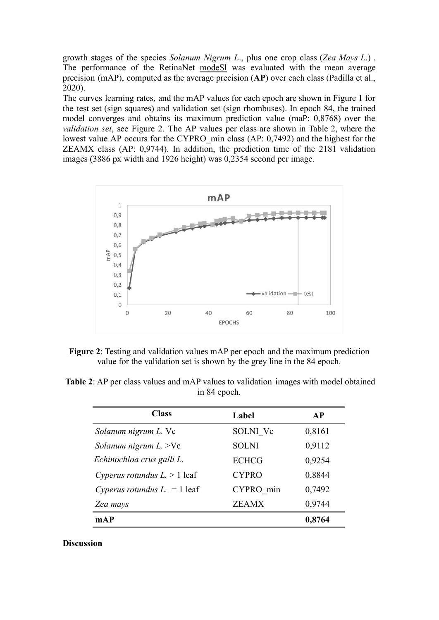growth stages of the species *Solanum Nigrum L*., plus one crop class (*Zea Mays L*.) . The performance of the RetinaNet modeSl was evaluated with the mean average precision (mAP), computed as the average precision (**AP**) over each class (Padilla et al., 2020).

The curves learning rates, and the mAP values for each epoch are shown in Figure 1 for the test set (sign squares) and validation set (sign rhombuses). In epoch 84, the trained model converges and obtains its maximum prediction value (maP: 0,8768) over the *validation set*, see Figure 2. The AP values per class are shown in Table 2, where the lowest value AP occurs for the CYPRO\_min class (AP: 0,7492) and the highest for the ZEAMX class (AP: 0,9744). In addition, the prediction time of the 2181 validation images (3886 px width and 1926 height) was 0,2354 second per image.



**Figure 2**: Testing and validation values mAP per epoch and the maximum prediction value for the validation set is shown by the grey line in the 84 epoch.

**Table 2**: AP per class values and mAP values to validation images with model obtained in 84 epoch.

| <b>Class</b>                  | Label        | <b>AP</b> |
|-------------------------------|--------------|-----------|
| Solanum nigrum L. Vc          | SOLNI Vc     | 0,8161    |
| Solanum nigrum $L$ . >Vc      | <b>SOLNI</b> | 0,9112    |
| Echinochloa crus galli L.     | <b>ECHCG</b> | 0,9254    |
| Cyperus rotundus $L > 1$ leaf | <b>CYPRO</b> | 0,8844    |
| Cyperus rotundus $L = 1$ leaf | CYPRO min    | 0,7492    |
| Zea mays                      | <b>ZEAMX</b> | 0,9744    |
| mAP                           |              | 0,8764    |

#### **Discussion**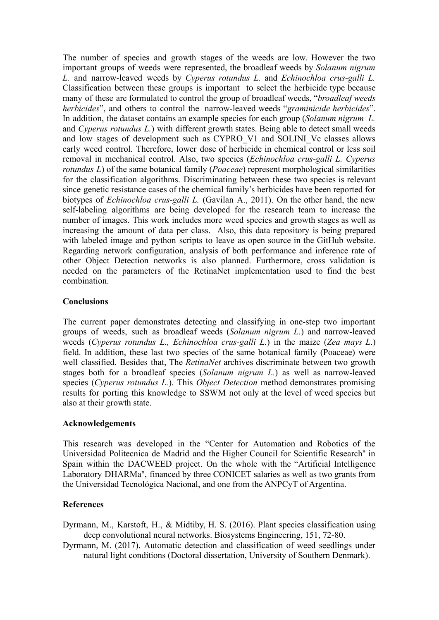The number of species and growth stages of the weeds are low. However the two important groups of weeds were represented, the broadleaf weeds by *Solanum nigrum L.* and narrow-leaved weeds by *Cyperus rotundus L.* and *Echinochloa crus-galli L.* Classification between these groups is important to select the herbicide type because many of these are formulated to control the group of broadleaf weeds, "*broadleaf weeds herbicides*", and others to control the narrow-leaved weeds "*graminicide herbicides*". In addition, the dataset contains an example species for each group (*Solanum nigrum L.* and *Cyperus rotundus L.*) with different growth states. Being able to detect small weeds and low stages of development such as CYPRO\_V1 and SOLINI\_Vc classes allows early weed control. Therefore, lower dose of herbicide in chemical control or less soil removal in mechanical control. Also, two species (*Echinochloa crus-galli L. Cyperus rotundus L*) of the same botanical family (*Poaceae*) represent morphological similarities for the classification algorithms. Discriminating between these two species is relevant since genetic resistance cases of the chemical family's herbicides have been reported for biotypes of *Echinochloa crus-galli L.* (Gavilan A., 2011). On the other hand, the new self-labeling algorithms are being developed for the research team to increase the number of images. This work includes more weed species and growth stages as well as increasing the amount of data per class. Also, this data repository is being prepared with labeled image and python scripts to leave as open source in the GitHub website. Regarding network configuration, analysis of both performance and inference rate of other Object Detection networks is also planned. Furthermore, cross validation is needed on the parameters of the RetinaNet implementation used to find the best combination.

# **Conclusions**

The current paper demonstrates detecting and classifying in one-step two important groups of weeds, such as broadleaf weeds (*Solanum nigrum L.*) and narrow-leaved weeds (*Cyperus rotundus L., Echinochloa crus-galli L.*) in the maize (*Zea mays L*.) field. In addition, these last two species of the same botanical family (Poaceae) were well classified. Besides that, The *RetinaNet* archives discriminate between two growth stages both for a broadleaf species (*Solanum nigrum L.*) as well as narrow-leaved species (*Cyperus rotundus L.*). This *Object Detection* method demonstrates promising results for porting this knowledge to SSWM not only at the level of weed species but also at their growth state.

# **Acknowledgements**

This research was developed in the "Center for Automation and Robotics of the Universidad Politecnica de Madrid and the Higher Council for Scientific Research'' in Spain within the DACWEED project. On the whole with the "Artificial Intelligence Laboratory DHARMa'', financed by three CONICET salaries as well as two grants from the Universidad Tecnológica Nacional, and one from the ANPCyT of Argentina.

# **References**

- Dyrmann, M., Karstoft, H., & Midtiby, H. S. (2016). Plant species classification using deep convolutional neural networks. Biosystems Engineering, 151, 72-80.
- Dyrmann, M. (2017). Automatic detection and classification of weed seedlings under natural light conditions (Doctoral dissertation, University of Southern Denmark).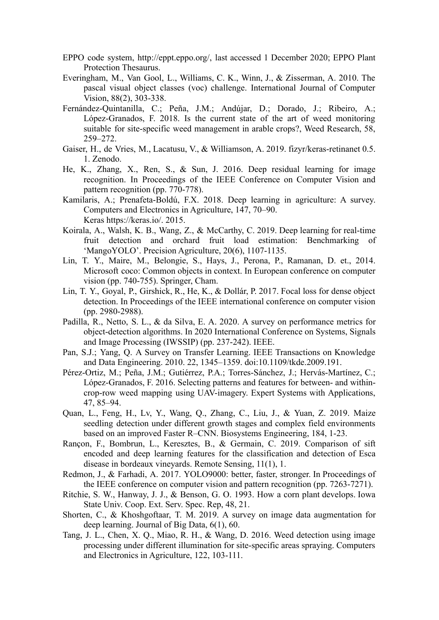- EPPO code system, http://eppt.eppo.org/, last accessed 1 December 2020; EPPO Plant Protection Thesaurus.
- Everingham, M., Van Gool, L., Williams, C. K., Winn, J., & Zisserman, A. 2010. The pascal visual object classes (voc) challenge. International Journal of Computer Vision, 88(2), 303-338.
- Fernández-Quintanilla, C.; Peña, J.M.; Andújar, D.; Dorado, J.; Ribeiro, A.; López-Granados, F. 2018. Is the current state of the art of weed monitoring suitable for site-specific weed management in arable crops?, Weed Research, 58, 259–272.
- Gaiser, H., de Vries, M., Lacatusu, V., & Williamson, A. 2019. fizyr/keras-retinanet 0.5. 1. Zenodo.
- He, K., Zhang, X., Ren, S., & Sun, J. 2016. Deep residual learning for image recognition. In Proceedings of the IEEE Conference on Computer Vision and pattern recognition (pp. 770-778).
- Kamilaris, A.; Prenafeta-Boldú, F.X. 2018. Deep learning in agriculture: A survey. Computers and Electronics in Agriculture, 147, 70–90. Keras https://keras.io/. 2015.
- Koirala, A., Walsh, K. B., Wang, Z., & McCarthy, C. 2019. Deep learning for real-time fruit detection and orchard fruit load estimation: Benchmarking 'MangoYOLO'. Precision Agriculture, 20(6), 1107-1135.
- Lin, T. Y., Maire, M., Belongie, S., Hays, J., Perona, P., Ramanan, D. et., 2014. Microsoft coco: Common objects in context. In European conference on computer vision (pp. 740-755). Springer, Cham.
- Lin, T. Y., Goyal, P., Girshick, R., He, K., & Dollár, P. 2017. Focal loss for dense object detection. In Proceedings of the IEEE international conference on computer vision (pp. 2980-2988).
- Padilla, R., Netto, S. L., & da Silva, E. A. 2020. A survey on performance metrics for object-detection algorithms. In 2020 International Conference on Systems, Signals and Image Processing (IWSSIP) (pp. 237-242). IEEE.
- Pan, S.J.; Yang, Q. A Survey on Transfer Learning. IEEE Transactions on Knowledge and Data Engineering. 2010. 22, 1345–1359. doi:10.1109/tkde.2009.191.
- Pérez-Ortiz, M.; Peña, J.M.; Gutiérrez, P.A.; Torres-Sánchez, J.; Hervás-Martínez, C.; López-Granados, F. 2016. Selecting patterns and features for between- and withincrop-row weed mapping using UAV-imagery. Expert Systems with Applications, 47, 85–94.
- Quan, L., Feng, H., Lv, Y., Wang, Q., Zhang, C., Liu, J., & Yuan, Z. 2019. Maize seedling detection under different growth stages and complex field environments based on an improved Faster R–CNN. Biosystems Engineering, 184, 1-23.
- Rançon, F., Bombrun, L., Keresztes, B., & Germain, C. 2019. Comparison of sift encoded and deep learning features for the classification and detection of Esca disease in bordeaux vineyards. Remote Sensing, 11(1), 1.
- Redmon, J., & Farhadi, A. 2017. YOLO9000: better, faster, stronger. In Proceedings of the IEEE conference on computer vision and pattern recognition (pp. 7263-7271).
- Ritchie, S. W., Hanway, J. J., & Benson, G. O. 1993. How a corn plant develops. Iowa State Univ. Coop. Ext. Serv. Spec. Rep, 48, 21.
- Shorten, C., & Khoshgoftaar, T. M. 2019. A survey on image data augmentation for deep learning. Journal of Big Data, 6(1), 60.
- Tang, J. L., Chen, X. Q., Miao, R. H., & Wang, D. 2016. Weed detection using image processing under different illumination for site-specific areas spraying. Computers and Electronics in Agriculture, 122, 103-111.